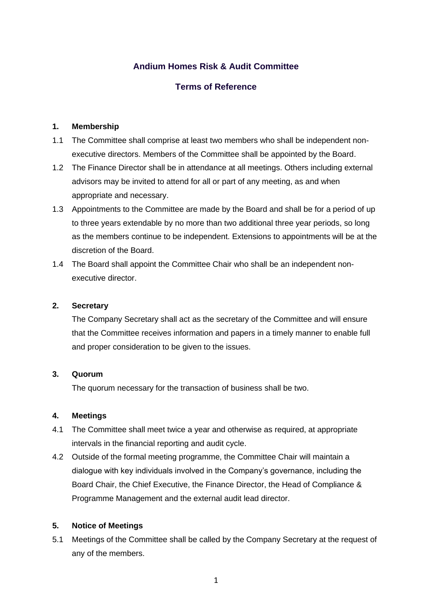# **Andium Homes Risk & Audit Committee**

# **Terms of Reference**

## **1. Membership**

- 1.1 The Committee shall comprise at least two members who shall be independent nonexecutive directors. Members of the Committee shall be appointed by the Board.
- 1.2 The Finance Director shall be in attendance at all meetings. Others including external advisors may be invited to attend for all or part of any meeting, as and when appropriate and necessary.
- 1.3 Appointments to the Committee are made by the Board and shall be for a period of up to three years extendable by no more than two additional three year periods, so long as the members continue to be independent. Extensions to appointments will be at the discretion of the Board.
- 1.4 The Board shall appoint the Committee Chair who shall be an independent nonexecutive director.

### **2. Secretary**

The Company Secretary shall act as the secretary of the Committee and will ensure that the Committee receives information and papers in a timely manner to enable full and proper consideration to be given to the issues.

#### **3. Quorum**

The quorum necessary for the transaction of business shall be two.

#### **4. Meetings**

- 4.1 The Committee shall meet twice a year and otherwise as required, at appropriate intervals in the financial reporting and audit cycle.
- 4.2 Outside of the formal meeting programme, the Committee Chair will maintain a dialogue with key individuals involved in the Company's governance, including the Board Chair, the Chief Executive, the Finance Director, the Head of Compliance & Programme Management and the external audit lead director.

#### **5. Notice of Meetings**

5.1 Meetings of the Committee shall be called by the Company Secretary at the request of any of the members.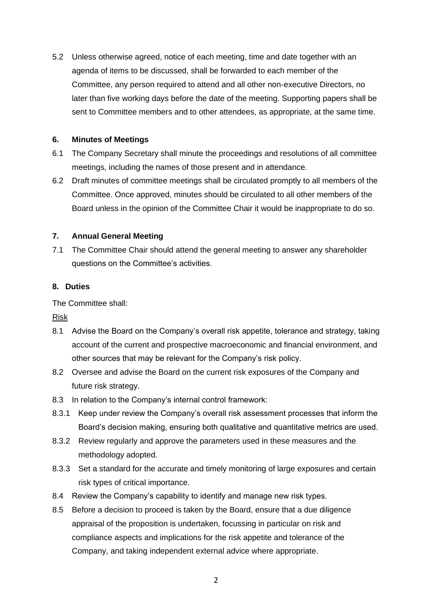5.2 Unless otherwise agreed, notice of each meeting, time and date together with an agenda of items to be discussed, shall be forwarded to each member of the Committee, any person required to attend and all other non-executive Directors, no later than five working days before the date of the meeting. Supporting papers shall be sent to Committee members and to other attendees, as appropriate, at the same time.

### **6. Minutes of Meetings**

- 6.1 The Company Secretary shall minute the proceedings and resolutions of all committee meetings, including the names of those present and in attendance.
- 6.2 Draft minutes of committee meetings shall be circulated promptly to all members of the Committee. Once approved, minutes should be circulated to all other members of the Board unless in the opinion of the Committee Chair it would be inappropriate to do so.

# **7. Annual General Meeting**

7.1 The Committee Chair should attend the general meeting to answer any shareholder questions on the Committee's activities.

## **8. Duties**

The Committee shall:

Risk

- 8.1 Advise the Board on the Company's overall risk appetite, tolerance and strategy, taking account of the current and prospective macroeconomic and financial environment, and other sources that may be relevant for the Company's risk policy.
- 8.2 Oversee and advise the Board on the current risk exposures of the Company and future risk strategy.
- 8.3 In relation to the Company's internal control framework:
- 8.3.1 Keep under review the Company's overall risk assessment processes that inform the Board's decision making, ensuring both qualitative and quantitative metrics are used.
- 8.3.2 Review regularly and approve the parameters used in these measures and the methodology adopted.
- 8.3.3 Set a standard for the accurate and timely monitoring of large exposures and certain risk types of critical importance.
- 8.4 Review the Company's capability to identify and manage new risk types.
- 8.5 Before a decision to proceed is taken by the Board, ensure that a due diligence appraisal of the proposition is undertaken, focussing in particular on risk and compliance aspects and implications for the risk appetite and tolerance of the Company, and taking independent external advice where appropriate.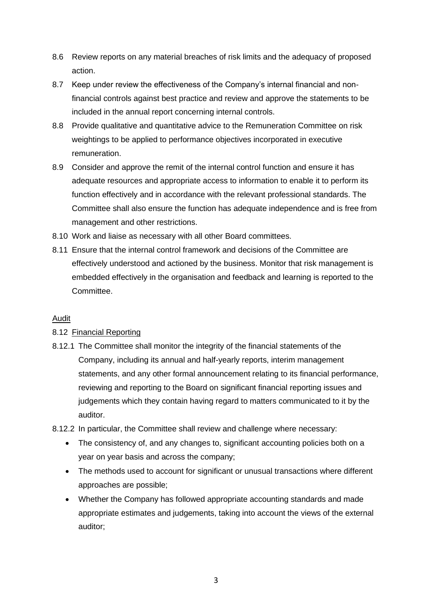- 8.6 Review reports on any material breaches of risk limits and the adequacy of proposed action.
- 8.7 Keep under review the effectiveness of the Company's internal financial and nonfinancial controls against best practice and review and approve the statements to be included in the annual report concerning internal controls.
- 8.8 Provide qualitative and quantitative advice to the Remuneration Committee on risk weightings to be applied to performance objectives incorporated in executive remuneration.
- 8.9 Consider and approve the remit of the internal control function and ensure it has adequate resources and appropriate access to information to enable it to perform its function effectively and in accordance with the relevant professional standards. The Committee shall also ensure the function has adequate independence and is free from management and other restrictions.
- 8.10 Work and liaise as necessary with all other Board committees.
- 8.11 Ensure that the internal control framework and decisions of the Committee are effectively understood and actioned by the business. Monitor that risk management is embedded effectively in the organisation and feedback and learning is reported to the Committee.

#### Audit

# 8.12 Financial Reporting

8.12.1 The Committee shall monitor the integrity of the financial statements of the Company, including its annual and half-yearly reports, interim management statements, and any other formal announcement relating to its financial performance, reviewing and reporting to the Board on significant financial reporting issues and judgements which they contain having regard to matters communicated to it by the auditor.

8.12.2 In particular, the Committee shall review and challenge where necessary:

- The consistency of, and any changes to, significant accounting policies both on a year on year basis and across the company;
- The methods used to account for significant or unusual transactions where different approaches are possible;
- Whether the Company has followed appropriate accounting standards and made appropriate estimates and judgements, taking into account the views of the external auditor;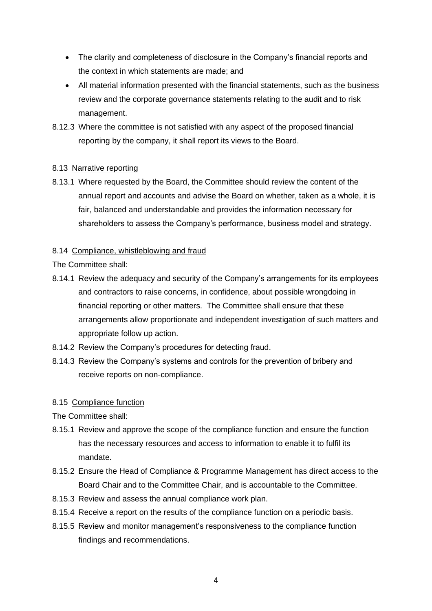- The clarity and completeness of disclosure in the Company's financial reports and the context in which statements are made; and
- All material information presented with the financial statements, such as the business review and the corporate governance statements relating to the audit and to risk management.
- 8.12.3 Where the committee is not satisfied with any aspect of the proposed financial reporting by the company, it shall report its views to the Board.

# 8.13 Narrative reporting

8.13.1 Where requested by the Board, the Committee should review the content of the annual report and accounts and advise the Board on whether, taken as a whole, it is fair, balanced and understandable and provides the information necessary for shareholders to assess the Company's performance, business model and strategy.

## 8.14 Compliance, whistleblowing and fraud

The Committee shall:

- 8.14.1 Review the adequacy and security of the Company's arrangements for its employees and contractors to raise concerns, in confidence, about possible wrongdoing in financial reporting or other matters. The Committee shall ensure that these arrangements allow proportionate and independent investigation of such matters and appropriate follow up action.
- 8.14.2 Review the Company's procedures for detecting fraud.
- 8.14.3 Review the Company's systems and controls for the prevention of bribery and receive reports on non-compliance.

# 8.15 Compliance function

The Committee shall:

- 8.15.1 Review and approve the scope of the compliance function and ensure the function has the necessary resources and access to information to enable it to fulfil its mandate.
- 8.15.2 Ensure the Head of Compliance & Programme Management has direct access to the Board Chair and to the Committee Chair, and is accountable to the Committee.
- 8.15.3 Review and assess the annual compliance work plan.
- 8.15.4 Receive a report on the results of the compliance function on a periodic basis.
- 8.15.5 Review and monitor management's responsiveness to the compliance function findings and recommendations.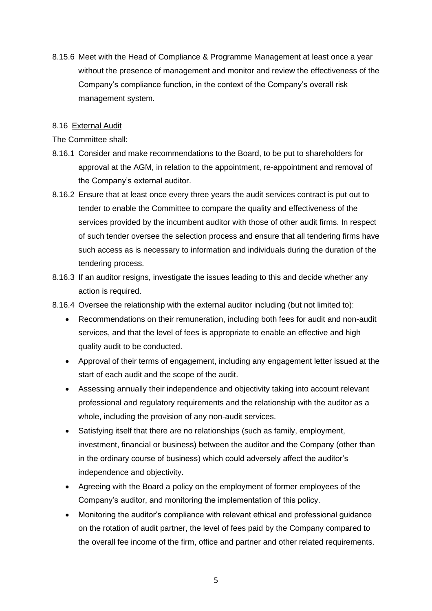8.15.6 Meet with the Head of Compliance & Programme Management at least once a year without the presence of management and monitor and review the effectiveness of the Company's compliance function, in the context of the Company's overall risk management system.

#### 8.16 External Audit

### The Committee shall:

- 8.16.1 Consider and make recommendations to the Board, to be put to shareholders for approval at the AGM, in relation to the appointment, re-appointment and removal of the Company's external auditor.
- 8.16.2 Ensure that at least once every three years the audit services contract is put out to tender to enable the Committee to compare the quality and effectiveness of the services provided by the incumbent auditor with those of other audit firms. In respect of such tender oversee the selection process and ensure that all tendering firms have such access as is necessary to information and individuals during the duration of the tendering process.
- 8.16.3 If an auditor resigns, investigate the issues leading to this and decide whether any action is required.
- 8.16.4 Oversee the relationship with the external auditor including (but not limited to):
	- Recommendations on their remuneration, including both fees for audit and non-audit services, and that the level of fees is appropriate to enable an effective and high quality audit to be conducted.
	- Approval of their terms of engagement, including any engagement letter issued at the start of each audit and the scope of the audit.
	- Assessing annually their independence and objectivity taking into account relevant professional and regulatory requirements and the relationship with the auditor as a whole, including the provision of any non-audit services.
	- Satisfying itself that there are no relationships (such as family, employment, investment, financial or business) between the auditor and the Company (other than in the ordinary course of business) which could adversely affect the auditor's independence and objectivity.
	- Agreeing with the Board a policy on the employment of former employees of the Company's auditor, and monitoring the implementation of this policy.
	- Monitoring the auditor's compliance with relevant ethical and professional guidance on the rotation of audit partner, the level of fees paid by the Company compared to the overall fee income of the firm, office and partner and other related requirements.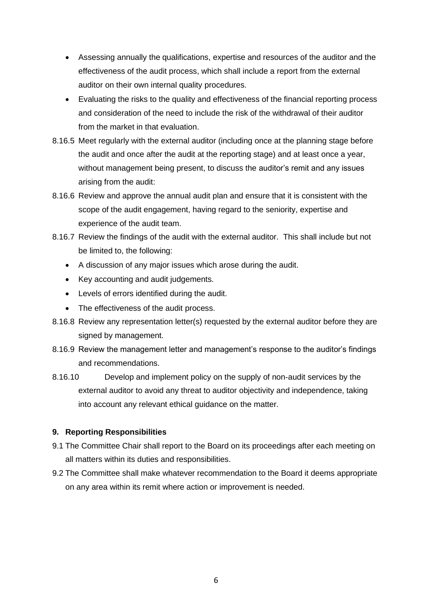- Assessing annually the qualifications, expertise and resources of the auditor and the effectiveness of the audit process, which shall include a report from the external auditor on their own internal quality procedures.
- Evaluating the risks to the quality and effectiveness of the financial reporting process and consideration of the need to include the risk of the withdrawal of their auditor from the market in that evaluation.
- 8.16.5 Meet regularly with the external auditor (including once at the planning stage before the audit and once after the audit at the reporting stage) and at least once a year, without management being present, to discuss the auditor's remit and any issues arising from the audit:
- 8.16.6 Review and approve the annual audit plan and ensure that it is consistent with the scope of the audit engagement, having regard to the seniority, expertise and experience of the audit team.
- 8.16.7 Review the findings of the audit with the external auditor. This shall include but not be limited to, the following:
	- A discussion of any major issues which arose during the audit.
	- Key accounting and audit judgements.
	- Levels of errors identified during the audit.
	- The effectiveness of the audit process.
- 8.16.8 Review any representation letter(s) requested by the external auditor before they are signed by management.
- 8.16.9 Review the management letter and management's response to the auditor's findings and recommendations.
- 8.16.10 Develop and implement policy on the supply of non-audit services by the external auditor to avoid any threat to auditor objectivity and independence, taking into account any relevant ethical guidance on the matter.

# **9. Reporting Responsibilities**

- 9.1 The Committee Chair shall report to the Board on its proceedings after each meeting on all matters within its duties and responsibilities.
- 9.2 The Committee shall make whatever recommendation to the Board it deems appropriate on any area within its remit where action or improvement is needed.